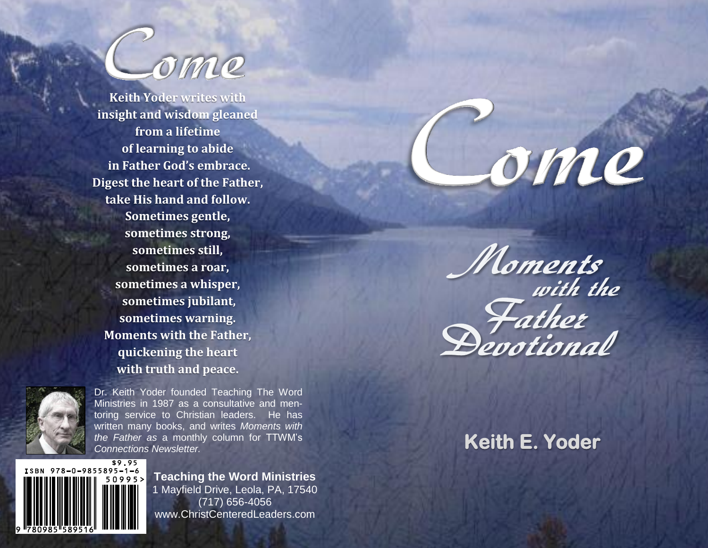

**Keith Yoder writes with insight and wisdom gleaned from a lifetime of learning to abide in Father God's embrace. Digest the heart of the Father, take His hand and follow. Sometimes gentle, sometimes strong, sometimes still, sometimes a roar, sometimes a whisper, sometimes jubilant, sometimes warning. Moments with the Father, quickening the heart with truth and peace.**



Dr. Keith Yoder founded Teaching The Word Ministries in 1987 as a consultative and mentoring service to Christian leaders. He has written many books, and writes *Moments with the Father as* a monthly column for TTWM's *Connections Newsletter.*



**Teaching the Word Ministries** 1 Mayfield Drive, Leola, PA, 17540 (717) 656-4056 www.ChristCenteredLeaders.com

ome



**Keith E. Yoder**